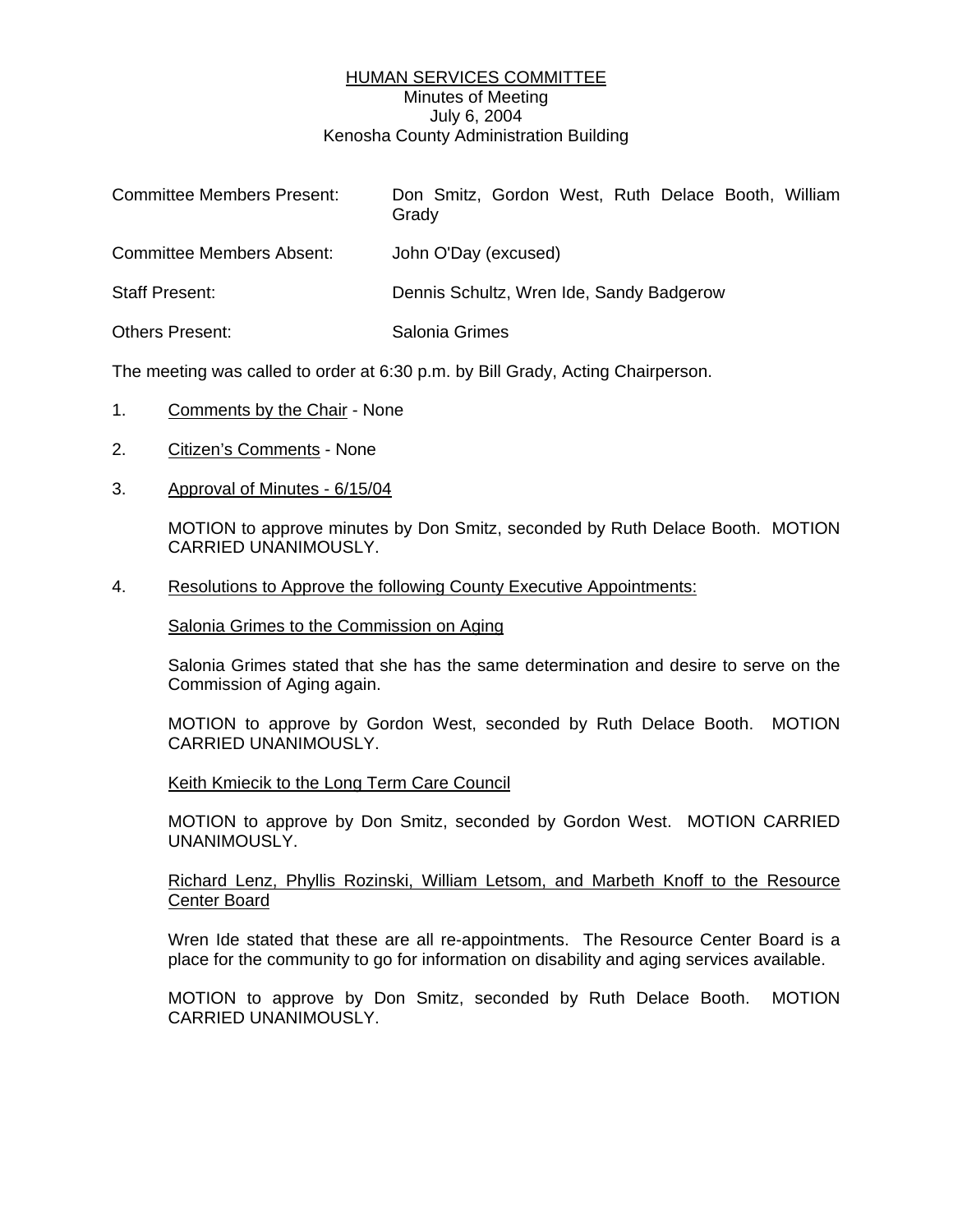## HUMAN SERVICES COMMITTEE Minutes of Meeting July 6, 2004 Kenosha County Administration Building

| <b>Committee Members Present:</b> | Don Smitz, Gordon West, Ruth Delace Booth, William<br>Grady |
|-----------------------------------|-------------------------------------------------------------|
| Committee Members Absent:         | John O'Day (excused)                                        |
| <b>Staff Present:</b>             | Dennis Schultz, Wren Ide, Sandy Badgerow                    |
| Others Present:                   | Salonia Grimes                                              |
|                                   |                                                             |

The meeting was called to order at 6:30 p.m. by Bill Grady, Acting Chairperson.

- 1. Comments by the Chair None
- 2. Citizen's Comments None
- 3. Approval of Minutes 6/15/04

MOTION to approve minutes by Don Smitz, seconded by Ruth Delace Booth. MOTION CARRIED UNANIMOUSLY.

4. Resolutions to Approve the following County Executive Appointments:

Salonia Grimes to the Commission on Aging

Salonia Grimes stated that she has the same determination and desire to serve on the Commission of Aging again.

MOTION to approve by Gordon West, seconded by Ruth Delace Booth. MOTION CARRIED UNANIMOUSLY.

Keith Kmiecik to the Long Term Care Council

MOTION to approve by Don Smitz, seconded by Gordon West. MOTION CARRIED UNANIMOUSLY.

### Richard Lenz, Phyllis Rozinski, William Letsom, and Marbeth Knoff to the Resource Center Board

Wren Ide stated that these are all re-appointments. The Resource Center Board is a place for the community to go for information on disability and aging services available.

MOTION to approve by Don Smitz, seconded by Ruth Delace Booth. MOTION CARRIED UNANIMOUSLY.